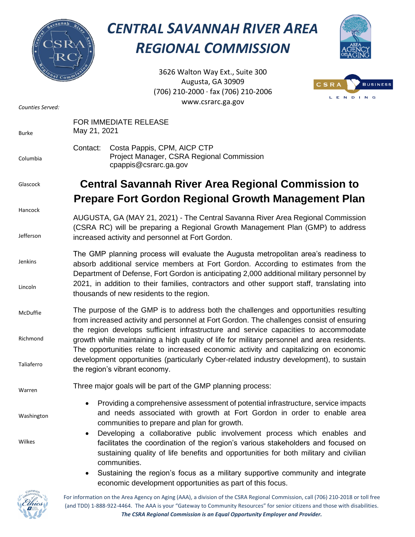

## *CENTRAL SAVANNAH RIVER AREA REGIONAL COMMISSION*



3626 Walton Way Ext., Suite 300 Augusta, GA 30909 (706) 210-2000 ∙ fax (706) 210-2006 www.csrarc.ga.gov



| Counties Served:                   | www.csrarc.ga.gov                                                                                                                                                                                                                                                                                                                                                                                                                                                                                                                                        |
|------------------------------------|----------------------------------------------------------------------------------------------------------------------------------------------------------------------------------------------------------------------------------------------------------------------------------------------------------------------------------------------------------------------------------------------------------------------------------------------------------------------------------------------------------------------------------------------------------|
| Burke                              | FOR IMMEDIATE RELEASE<br>May 21, 2021                                                                                                                                                                                                                                                                                                                                                                                                                                                                                                                    |
| Columbia                           | Contact:<br>Costa Pappis, CPM, AICP CTP<br>Project Manager, CSRA Regional Commission<br>cpappis@csrarc.ga.gov                                                                                                                                                                                                                                                                                                                                                                                                                                            |
| Glascock                           | <b>Central Savannah River Area Regional Commission to</b><br><b>Prepare Fort Gordon Regional Growth Management Plan</b>                                                                                                                                                                                                                                                                                                                                                                                                                                  |
| Hancock<br>Jefferson               | AUGUSTA, GA (MAY 21, 2021) - The Central Savanna River Area Regional Commission<br>(CSRA RC) will be preparing a Regional Growth Management Plan (GMP) to address<br>increased activity and personnel at Fort Gordon.                                                                                                                                                                                                                                                                                                                                    |
| Jenkins<br>Lincoln                 | The GMP planning process will evaluate the Augusta metropolitan area's readiness to<br>absorb additional service members at Fort Gordon. According to estimates from the<br>Department of Defense, Fort Gordon is anticipating 2,000 additional military personnel by<br>2021, in addition to their families, contractors and other support staff, translating into<br>thousands of new residents to the region.                                                                                                                                         |
| McDuffie<br>Richmond<br>Taliaferro | The purpose of the GMP is to address both the challenges and opportunities resulting<br>from increased activity and personnel at Fort Gordon. The challenges consist of ensuring<br>the region develops sufficient infrastructure and service capacities to accommodate<br>growth while maintaining a high quality of life for military personnel and area residents.<br>The opportunities relate to increased economic activity and capitalizing on economic<br>development opportunities (particularly Cyber-related industry development), to sustain |
| Warren                             | the region's vibrant economy.<br>Three major goals will be part of the GMP planning process:                                                                                                                                                                                                                                                                                                                                                                                                                                                             |
| Washington                         | Providing a comprehensive assessment of potential infrastructure, service impacts<br>and needs associated with growth at Fort Gordon in order to enable area<br>communities to prepare and plan for growth.                                                                                                                                                                                                                                                                                                                                              |
| Wilkes                             | Developing a collaborative public involvement process which enables and<br>$\bullet$<br>facilitates the coordination of the region's various stakeholders and focused on<br>sustaining quality of life benefits and opportunities for both military and civilian<br>communities.<br>Sustaining the region's focus as a military supportive community and integrate<br>٠<br>economic development opportunities as part of this focus.                                                                                                                     |